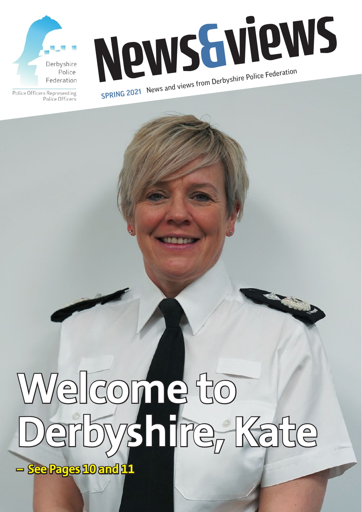



Police Officers Representing Police Officers

# **Welcome to Derbyshire, Kate**

**1**

**– See Pages 10 and 11**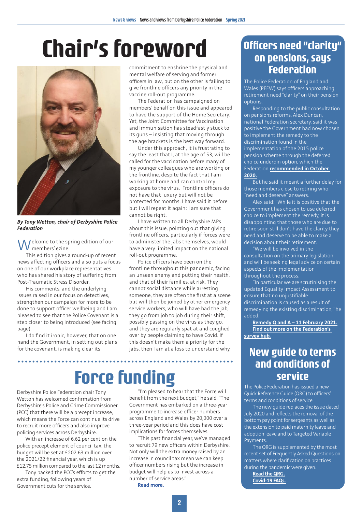# **Chair's foreword**



*By Tony Wetton, chair of Derbyshire Police Federation*

Welcome to the spring edition of our<br>
Welcome views ezine.

This edition gives a round-up of recent news affecting officers and also puts a focus on one of our workplace representatives who has shared his story of suffering from Post-Traumatic Stress Disorder.

His comments, and the underlying issues raised in our focus on detectives, strengthen our campaign for more to be done to support officer wellbeing and I am pleased to see that the Police Covenant is a step closer to being introduced (see facing page).

I do find it ironic, however, that on one hand the Government, in setting out plans for the covenant, is making clear its

**\*\*\*\*\*\*\*\*\*\*\*\*\*** 

commitment to enshrine the physical and mental welfare of serving and former officers in law, but on the other is failing to give frontline officers any priority in the vaccine roll-out programme.

The Federation has campaigned on members' behalf on this issue and appeared to have the support of the Home Secretary. Yet, the Joint Committee for Vaccination and Immunisation has steadfastly stuck to its guns – insisting that moving through the age brackets is the best way forward.

Under this approach, it is frustrating to say the least that I, at the age of 53, will be called for the vaccination before many of my younger colleagues who are working on the frontline, despite the fact that I am working at home and can control my exposure to the virus. Frontline officers do not have that luxury but will not be protected for months. I have said it before but I will repeat it again: I am sure that cannot be right.

I have written to all Derbyshire MPs about this issue, pointing out that giving frontline officers, particularly if forces were to administer the jabs themselves, would have a very limited impact on the national roll-out programme.

Police officers have been on the frontline throughout this pandemic, facing an unseen enemy and putting their health, and that of their families, at risk. They cannot social distance while arresting someone, they are often the first at a scene but will then be joined by other emergency service workers, who will have had the jab, they go from job to job during their shift, possibly passing on the virus as they go, and they are regularly spat at and coughed over by people claiming to have Covid. If this doesn't make them a priority for the jabs, then I am at a loss to understand why.

# **Force funding**

Derbyshire Police Federation chair Tony Wetton has welcomed confirmation from Derbyshire's Police and Crime Commissioner (PCC) that there will be a precept increase, which means the Force can continue its drive to recruit more officers and also improve policing services across Derbyshire.

With an increase of 6.62 per cent on the police precept element of council tax, the budget will be set at £202.63 million over the 2021/22 financial year, which is up £12.75 million compared to the last 12 months.

Tony backed the PCC's efforts to get the extra funding, following years of Government cuts for the service.

"I'm pleased to hear that the Force will benefit from the next budget," he said, "The Government has embarked on a three-year programme to increase officer numbers across England and Wales by 20,000 over a three-year period and this does have cost implications for forces themselves.

"This past financial year, we've managed to recruit 79 new officers within Derbyshire. Not only will the extra money raised by an increase in council tax mean we can keep officer numbers rising but the increase in budget will help us to invest across a number of service areas."

**Read more.**

#### **Officers need "clarity" on pensions, says Federation**

The Police Federation of England and Wales (PFEW) says officers approaching retirement need "clarity" on their pension options.

Responding to the public consultation on pensions reforms, Alex Duncan, national Federation secretary, said it was positive the Government had now chosen to implement the remedy to the discrimination found in the implementation of the 2015 police pension scheme through the deferred choice underpin option, which the Federation **recommended in October 2020.**

But he said it meant a further delay for those members close to retiring who "need and deserve" answers.

Alex said: "While it is positive that the Government has chosen to use deferred choice to implement the remedy, it is disappointing that those who are due to retire soon still don't have the clarity they need and deserve to be able to make a decision about their retirement.

"We will be involved in the consultation on the primary legislation and will be seeking legal advice on certain aspects of the implementation throughout the process.

"In particular we are scrutinising the updated Equality Impact Assessment to ensure that no unjustifiable discrimination is caused as a result of remedying the existing discrimination," he added.

**Remedy Q and A – 11 February 2021. Find out more on the Federation's survey hub.**

#### **New guide to terms and conditions of service**

The Police Federation has issued a new Quick Reference Guide (QRG) to officers' terms and conditions of service.

The new guide replaces the issue dated July 2020 and reflects the removal of the bottom pay point for sergeants as well as the extension to paid maternity leave and adoption leave and to Targeted Variable Payments.

The QRG is supplemented by the most recent set of Frequently Asked Questions on matters where clarification on practices during the pandemic were given.

**Read the QRG. Covid-19 FAQs.**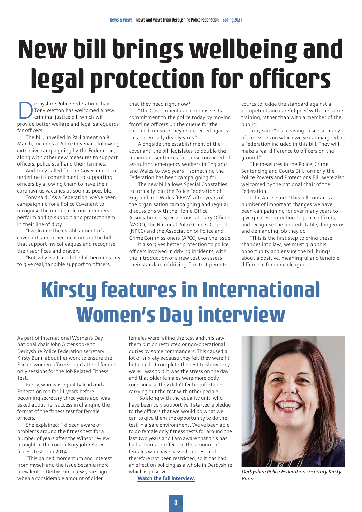# **New bill brings wellbeing and legal protection for officers**

**Derbyshire Police Federation chair**<br>
Tony Wetton has welcomed a new<br>
provide better welfare and legal safeguards Tony Wetton has welcomed a new criminal justice bill which will for officers.

The bill, unveiled in Parliament on 9 March, includes a Police Covenant following extensive campaigning by the Federation, along with other new measures to support officers, police staff and their families.

And Tony called for the Government to underline its commitment to supporting officers by allowing them to have their coronavirus vaccines as soon as possible.

Tony said: "As a Federation, we've been campaigning for a Police Covenant to recognise the unique role our members perform and to support and protect them in their line of duty.

"I welcome the establishment of a covenant, and other measures in the bill that support my colleagues and recognise their sacrifices and bravery.

"But why wait until the bill becomes law to give real, tangible support to officers

that they need right now?

"The Government can emphasise its commitment to the police today by moving frontline officers up the queue for the vaccine to ensure they're protected against this potentially deadly virus."

Alongside the establishment of the covenant, the bill legislates to double the maximum sentences for those convicted of assaulting emergency workers in England and Wales to two years – something the Federation has been campaigning for.

The new bill allows Special Constables to formally join the Police Federation of England and Wales (PFEW) after years of the organisation campaigning and regular discussions with the Home Office, Association of Special Constabulary Officers (ASCO), the National Police Chiefs' Council (NPCC) and the Association of Police and Crime Commissioners (APCC) over the issue.

It also gives better protection to police officers involved in driving incidents, with the introduction of a new test to assess their standard of driving. The test permits

courts to judge the standard against a 'competent and careful peer' with the same training, rather than with a member of the public.

Tony said: "It's pleasing to see so many of the issues on which we've campaigned as a Federation included in this bill. They will make a real difference to officers on the ground."

The measures in the Police, Crime Sentencing and Courts Bill, formerly the Police Powers and Protections Bill, were also welcomed by the national chair of the Federation.

John Apter said: "This bill contains a number of important changes we have been campaigning for over many years to give greater protection to police officers, and recognise the unpredictable, dangerous and demanding job they do.

"This is the first step to bring these changes into law; we must grab this opportunity and ensure the bill brings about a positive, meaningful and tangible difference for our colleagues."

# **Kirsty features in International Women's Day interview**

As part of International Women's Day, national chair John Apter spoke to Derbyshire Police Federation secretary Kirsty Bunn about her work to ensure the Force's women officers could attend female only sessions for the Job Related Fitness Test.

Kirsty, who was equality lead and a Federation rep for 11 years before becoming secretary three years ago, was asked about her success in changing the format of the fitness test for female officers.

She explained: "I'd been aware of problems around the fitness test for a number of years after the Winsor review brought in the compulsory job-related fitness test in in 2014.

"This gained momentum and interest from myself and the issue became more prevalent in Derbyshire a few years ago when a considerable amount of older

females were failing the test and this saw them put on restricted or non-operational duties by some commanders. This caused a lot of anxiety because they felt they were fit but couldn't complete the test to show they were. I was told it was the stress on the day and that older females were more body conscious so they didn't feel comfortable carrying out the test with other people.

"So along with the equality unit, who have been very supportive, I started a pledge to the officers that we would do what we can to give them the opportunity to do the test in a 'safe environment'. We've been able to do female only fitness tests for around the last two years and I am aware that this has had a dramatic effect on the amount of females who have passed the test and therefore not been restricted, so it has had an effect on policing as a whole in Derbyshire which is positive."

**Watch the full interview.**



*Derbyshire Police Federation secretary Kirsty Bunn.*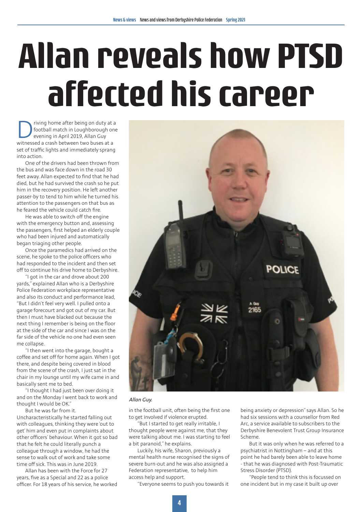# **Allan reveals how PTSD affected his career**

Triving home after being on duty at a<br>football match in Loughborough one<br>evening in April 2019, Allan Guy<br>witnessed a crash between two buses at a football match in Loughborough one evening in April 2019, Allan Guy witnessed a crash between two buses at a set of traffic lights and immediately sprang into action.

One of the drivers had been thrown from the bus and was face down in the road 30 feet away. Allan expected to find that he had died, but he had survived the crash so he put him in the recovery position. He left another passer-by to tend to him while he turned his attention to the passengers on that bus as he feared the vehicle could catch fire.

He was able to switch off the engine with the emergency button and, assessing the passengers, first helped an elderly couple who had been injured and automatically began triaging other people.

Once the paramedics had arrived on the scene, he spoke to the police officers who had responded to the incident and then set off to continue his drive home to Derbyshire.

"I got in the car and drove about 200 yards," explained Allan who is a Derbyshire Police Federation workplace representative and also its conduct and performance lead, "But I didn't feel very well. I pulled onto a garage forecourt and got out of my car. But then I must have blacked out because the next thing I remember is being on the floor at the side of the car and since I was on the far side of the vehicle no one had even seen me collapse.

"I then went into the garage, bought a coffee and set off for home again. When I got there, and despite being covered in blood from the scene of the crash, I just sat in the chair in my lounge until my wife came in and basically sent me to bed.

"I thought I had just been over doing it and on the Monday I went back to work and thought I would be OK."

But he was far from it. Uncharacteristically he started falling out with colleagues, thinking they were 'out to get' him and even put in complaints about other officers' behaviour. When it got so bad that he felt he could literally punch a colleague through a window, he had the sense to walk out of work and take some time off sick. This was in June 2019.

Allan has been with the Force for 27 years, five as a Special and 22 as a police officer. For 18 years of his service, he worked



#### *Allan Guy.*

in the football unit, often being the first one to get involved if violence erupted.

"But I started to get really irritable, I thought people were against me, that they were talking about me. I was starting to feel a bit paranoid," he explains.

Luckily, his wife, Sharon, previously a mental health nurse recognised the signs of severe burn-out and he was also assigned a Federation representative, to help him access help and support.

"Everyone seems to push you towards it

being anxiety or depression" says Allan. So he had six sessions with a counsellor from Red Arc, a service available to subscribers to the Derbyshire Benevolent Trust Group Insurance Scheme.

But it was only when he was referred to a psychiatrist in Nottingham – and at this point he had barely been able to leave home - that he was diagnosed with Post-Traumatic Stress Disorder (PTSD).

"People tend to think this is focussed on one incident but in my case it built up over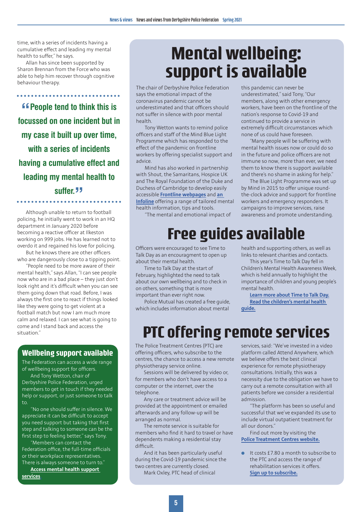time, with a series of incidents having a cumulative effect and leading my mental health to suffer," he says.

Allan has since been supported by Sharon Brennan from the Force who was able to help him recover through cognitive behaviour therapy.

**"f** People tend to think this is **focussed on one incident but in my case it built up over time, with a series of incidents having a cumulative effect and leading my mental health to suffer. "**

Although unable to return to football policing, he initially went to work in an HQ department in January 2020 before becoming a reactive officer at Ilkeston working on 999 jobs. He has learned not to overdo it and regained his love for policing.

But he knows there are other officers who are dangerously close to a tipping point.

"People need to be more aware of their mental health," says Allan, "I can see people now who are in a bad place – they just don't look right and it's difficult when you can see them going down that road. Before, I was always the first one to react if things looked like they were going to get violent at a football match but now I am much more calm and relaxed. I can see what is going to come and I stand back and access the situation."

#### **Wellbeing support available**

The Federation can access a wide range of wellbeing support for officers.

And Tony Wetton, chair of Derbyshire Police Federation, urged members to get in touch if they needed help or support, or just someone to talk to.

"No one should suffer in silence. We appreciate it can be difficult to accept you need support but taking that first step and talking to someone can be the first step to feeling better," says Tony.

"Members can contact the Federation office, the full-time officials or their workplace representatives. There is always someone to turn to."

**Access mental health support services.**

## **Mental wellbeing: support is available**

this pandemic can never be underestimated," said Tony, "Our members, along with other emergency workers, have been on the frontline of the nation's response to Covid-19 and continued to provide a service in extremely difficult circumstances which

none of us could have foreseen.

"Many people will be suffering with mental health issues now or could do so in the future and police officers are not immune so now, more than ever, we need them to know there is support available and there's no shame in asking for help." The Blue Light Programme was set up by Mind in 2015 to offer unique roundthe-clock advice and support for frontline workers and emergency responders. It campaigns to improve services, raise awareness and promote understanding.

The chair of Derbyshire Police Federation says the emotional impact of the coronavirus pandemic cannot be underestimated and that officers should not suffer in silence with poor mental health.

Tony Wetton wants to remind police officers and staff of the Mind Blue Light Programme which has responded to the effect of the pandemic on frontline workers by offering specialist support and advice.

Mind has also worked in partnership with Shout, the Samaritans, Hospice UK and The Royal Foundation of the Duke and Duchess of Cambridge to develop easily accessible **Frontline webpages** and **an Infoline** offering a range of tailored mental health information, tips and tools.

"The mental and emotional impact of

# **Free guides available**

Officers were encouraged to see Time to Talk Day as an encouragment to open up about their mental health.

Time to Talk Day at the start of February, highlighted the need to talk about our own wellbeing and to check in on others, something that is more important than ever right now.

Police Mutual has created a free guide, which includes information about mental

health and supporting others, as well as links to relevant charities and contacts.

This year's Time to Talk Day fell in Children's Mental Health Awareness Week, which is held annually to highlight the importance of children and young people's mental health.

**Learn more about Time to Talk Day. Read the children's mental health** 

**guide.**

### **PTC offering remote services**

The Police Treatment Centres (PTC) are offering officers, who subscribe to the centres, the chance to access a new remote physiotherapy service online.

Sessions will be delivered by video or, for members who don't have access to a computer or the internet, over the telephone.

Any care or treatment advice will be provided at the appointment or emailed afterwards and any follow-up will be arranged as normal.

The remote service is suitable for members who find it hard to travel or have dependents making a residential stay difficult.

And it has been particularly useful during the Covid-19 pandemic since the two centres are currently closed. Mark Oxley, PTC head of clinical

services, said: "We've invested in a video platform called Attend Anywhere, which we believe offers the best clinical experience for remote physiotherapy consultations. Initially, this was a necessity due to the obligation we have to carry out a remote consultation with all patients before we consider a residential admission.

"The platform has been so useful and successful that we've expanded its use to include virtual outpatient treatment for all our donors."

Find out more by visiting the **Police Treatment Centres website.**

 $\bullet$  It costs £7.80 a month to subscribe to the PTC and access the range of rehabilitation services it offers. **Sign up to subscribe.**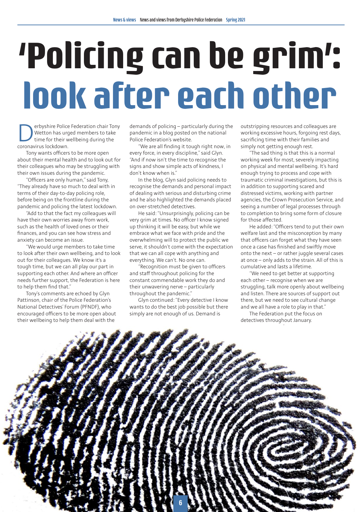# **'Policing can be grim': look after each other**

**Derbyshire Police Federation chair Tony**<br>Wetton has urged members to take<br>time for their wellbeing during the<br>coronavirus lockdown Wetton has urged members to take time for their wellbeing during the coronavirus lockdown.

Tony wants officers to be more open about their mental health and to look out for their colleagues who may be struggling with their own issues during the pandemic.

"Officers are only human," said Tony, "They already have so much to deal with in terms of their day-to-day policing role, before being on the frontline during the pandemic and policing the latest lockdown.

"Add to that the fact my colleagues will have their own worries away from work, such as the health of loved ones or their finances, and you can see how stress and anxiety can become an issue.

"We would urge members to take time to look after their own wellbeing, and to look out for their colleagues. We know it's a tough time, but we can all play our part in supporting each other. And where an officer needs further support, the Federation is here to help them find that."

Tony's comments are echoed by Glyn Pattinson, chair of the Police Federation's National Detectives' Forum (PFNDF), who encouraged officers to be more open about their wellbeing to help them deal with the

demands of policing – particularly during the pandemic in a blog posted on the national Police Federation's website.

"We are all finding it tough right now, in every force, in every discipline," said Glyn. "And if now isn't the time to recognise the signs and show simple acts of kindness, I don't know when is."

In the blog, Glyn said policing needs to recognise the demands and personal impact of dealing with serious and disturbing crime and he also highlighted the demands placed on over-stretched detectives.

He said: "Unsurprisingly, policing can be very grim at times. No officer I know signed up thinking it will be easy, but while we embrace what we face with pride and the overwhelming will to protect the public we serve, it shouldn't come with the expectation that we can all cope with anything and everything. We can't. No one can.

"Recognition must be given to officers and staff throughout policing for the constant commendable work they do and their unwavering nerve – particularly throughout the pandemic."

Glyn continued: "Every detective I know wants to do the best job possible but there simply are not enough of us. Demand is

outstripping resources and colleagues are working excessive hours, forgoing rest days, sacrificing time with their families and simply not getting enough rest.

"The sad thing is that this is a normal working week for most, severely impacting on physical and mental wellbeing. It's hard enough trying to process and cope with traumatic criminal investigations, but this is in addition to supporting scared and distressed victims, working with partner agencies, the Crown Prosecution Service, and seeing a number of legal processes through to completion to bring some form of closure for those affected.

He added: "Officers tend to put their own welfare last and the misconception by many that officers can forget what they have seen once a case has finished and swiftly move onto the next – or rather juggle several cases at once – only adds to the strain. All of this is cumulative and lasts a lifetime.

"We need to get better at supporting each other – recognise when we are struggling, talk more openly about wellbeing and listen. There are sources of support out there, but we need to see cultural change and we all have a role to play in that."

The Federation put the focus on detectives throughout January.

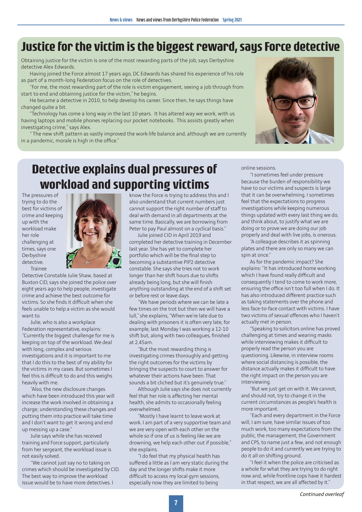### **Justice for the victim is the biggest reward, says Force detective**

Obtaining justice for the victim is one of the most rewarding parts of the job, says Derbyshire detective Alex Edwards.

Having joined the Force almost 17 years ago, DC Edwards has shared his experience of his role as part of a month-long Federation focus on the role of detectives.

"For me, the most rewarding part of the role is victim engagement, seeing a job through from start to end and obtaining justice for the victim," he begins.

He became a detective in 2010, to help develop his career. Since then, he says things have changed quite a bit.

"Technology has come a long way in the last 10 years. It has altered way we work, with us having laptops and mobile phones replacing our pocket notebooks. This assists greatly when investigating crime," says Alex.

" The new shift pattern as vastly improved the work-life balance and, although we are currently in a pandemic, morale is high in the office.



### **Detective explains dual pressures of workload and supporting victims**

The pressures of trying to do the best for victims of crime and keeping up with the workload make her role challenging at times, says one Derbyshire detective. Trainee



Detective Constable Julie Shaw, based at Buxton CID, says she joined the police over eight years ago to help people, investigate crime and achieve the best outcome for victims. So she finds it difficult when she feels unable to help a victim as she would want to.

Julie, who is also a workplace Federation representative, explains: "Currently the biggest challenge for me is keeping on top of the workload. We deal with long, complex and serious investigations and it is important to me that I do this to the best of my ability for the victims in my cases. But sometimes I feel this is difficult to do and this weighs heavily with me.

"Also, the new disclosure changes which have been introduced this year will increase the work involved in obtaining a charge; understanding these changes and putting them into practice will take time and I don't want to get it wrong and end up messing up a case."

Julie says while she has received training and Force support, particularly from her sergeant, the workload issue is not easily solved.

"We cannot just say no to taking on crimes which should be investigated by CID. The best way to improve the workload issue would be to have more detectives. I

know the Force is trying to address this and I also understand that current numbers just cannot support the right number of staff to deal with demand in all departments at the same time. Basically, we are borrowing from Peter to pay Paul almost on a cyclical basis."

Julie joined CID in April 2019 and completed her detective training in December last year. She has yet to complete her portfolio which will be the final step to becoming a substantive PIP2 detective constable. She says she tries not to work longer than her shift hours due to shifts already being long, but she will finish anything outstanding at the end of a shift set or before rest or leave days.

"We have periods where we can be late a few times on the trot but then we will have a lull," she explains, "When we're late due to dealing with prisoners it is often very late, for example, last Monday I was working a 12-10 shift but, along with two colleagues, finished at 2.45am.

"But the most rewarding thing is investigating crimes thoroughly and getting the right outcomes for the victims by bringing the suspects to court to answer for whatever their actions have been. That sounds a bit cliched but it's genuinely true."

Although Julie says she does not currently feel that her role is affecting her mental health, she admits to occasionally feeling overwhelmed.

"Mostly I have learnt to leave work at work. I am part of a very supportive team and we are very open with each other on the whole so if one of us is feeling like we are drowning, we help each other out if possible," she explains.

"I do feel that my physical health has suffered a little as I am very static during the day and the longer shifts make it more difficult to access my local gym sessions, especially now they are limited to being

online sessions.

"I sometimes feel under pressure because the burden of responsibility we have to our victims and suspects is large that it can be overwhelming. I sometimes feel that the expectations to progress investigations while keeping numerous things updated with every last thing we do, and think about, to justify what we are doing or to prove we are doing our job properly and deal with live jobs, is onerous.

"A colleague describes it as spinning plates and there are only so many we can spin at once."

As for the pandemic impact? She explains: "It has introduced home working which I have found really difficult and consequently I tend to come to work more, ensuring the office isn't too full when I do. It has also introduced different practice such as taking statements over the phone and less face-to-face contact with victims. I have two victims of sexual offences who I haven't actually met in person.

"Speaking to solicitors online has proved challenging at times and wearing masks while interviewing makes it difficult to properly read the person you are questioning. Likewise, in interview rooms where social distancing is possible, the distance actually makes it difficult to have the right impact on the person you are interviewing.

"But we just get on with it. We cannot, and should not, try to change it in the current circumstances as people's health is more important.

"Each and every department in the Force will, I am sure, have similar issues of too much work, too many expectations from the public, the management, the Government and CPS, to name just a few, and not enough people to do it and currently we are trying to do it all on shifting ground.

"I feel it when the police are criticised as a whole for what they are trying to do right now and, while frontline cops have it hardest in that respect, we are all affected by it."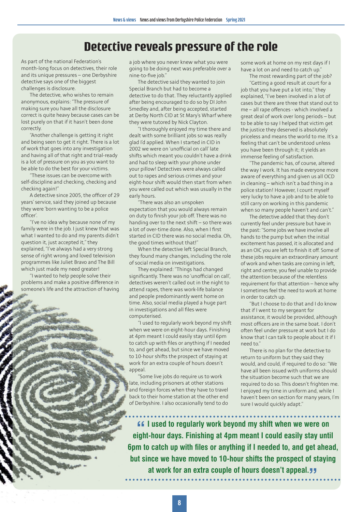#### **Detective reveals pressure of the role**

As part of the national Federation's month-long focus on detectives, their role and its unique pressures – one Derbyshire detective says one of the biggest challenges is disclosure.

The detective, who wishes to remain anonymous, explains: "The pressure of making sure you have all the disclosure correct is quite heavy because cases can be lost purely on that if it hasn't been done correctly.

"Another challenge is getting it right and being seen to get it right. There is a lot of work that goes into any investigation and having all of that right and trial-ready is a lot of pressure on you as you want to be able to do the best for your victims.

"These issues can be overcome with self-discipline and checking, checking and checking again!"

A detective since 2005, the officer of 29 years' service, said they joined up because they were 'born wanting to be a police officer'.

"I've no idea why because none of my family were in the job. I just knew that was what I wanted to do and my parents didn't question it, just accepted it," they explained, "I've always had a very strong sense of right wrong and loved television programmes like Juliet Bravo and The Bill which just made my need greater!

"I wanted to help people solve their problems and make a positive difference in someone's life and the attraction of having a job where you never knew what you were going to be doing next was preferable over a nine-to-five job."

The detective said they wanted to join Special Branch but had to become a detective to do that. They reluctantly applied after being encouraged to do so by DI John Smedley and, after being accepted, started at Derby North CID at St Mary's Wharf where they were tutored by Nick Clayton.

"I thoroughly enjoyed my time there and dealt with some brilliant jobs so was really glad I'd applied. When I started in CID in 2002 we were on 'unofficial on call' late shifts which meant you couldn't have a drink and had to sleep with your phone under your pillow! Detectives were always called out to rapes and serious crimes and your eight-hour shift would then start from when you were called out which was usually in the early hours.

"There was also an unspoken expectation that you would always remain on duty to finish your job off. There was no handing over to the next shift – so there was a lot of over-time done. Also, when I first started in CID there was no social media. Oh, the good times without that!"

When the detective left Special Branch, they found many changes, including the role of social media on investigations.

They explained: "Things had changed significantly. There was no 'unofficial on call', detectives weren't called out in the night to attend rapes, there was work-life balance and people predominantly went home on time. Also, social media played a huge part in investigations and all files were computerised.

"I used to regularly work beyond my shift when we were on eight-hour days. Finishing at 4pm meant I could easily stay until 6pm to catch up with files or anything if I needed to, and get ahead, but since we have moved to 10-hour shifts the prospect of staying at work for an extra couple of hours doesn't appeal.

"Some live jobs do require us to work late, including prisoners at other stations and foreign forces when they have to travel back to their home station at the other end of Derbyshire. I also occasionally tend to do some work at home on my rest days if I have a lot on and need to catch up."

The most rewarding part of the job? "Getting a good result at court for a job that you have put a lot into," they explained, "I've been involved in a lot of cases but there are three that stand out to me – all rape offences - which involved a great deal of work over long periods – but to be able to say I helped that victim get the justice they deserved is absolutely priceless and means the world to me. It's a feeling that can't be understood unless you have been through it; it yields an immense feeling of satisfaction.

"The pandemic has, of course, altered the way I work. It has made everyone more aware of everything and given us all OCD in cleaning – which isn't a bad thing in a police station! However, I count myself very lucky to have a job and to be able to still carry on working in this pandemic when so many people haven't and can't."

The detective added that they don't currently feel under pressure but have in the past: "Some jobs we have involve all hands to the pump but when the initial excitement has passed, it is allocated and as an OIC you are left to finish it off. Some of these jobs require an extraordinary amount of work and when tasks are coming in left, right and centre, you feel unable to provide the attention because of the relentless requirement for that attention – hence why I sometimes feel the need to work at home in order to catch up.

"But I choose to do that and I do know that if I went to my sergeant for assistance, it would be provided, although most officers are in the same boat. I don't often feel under pressure at work but I do know that I can talk to people about it if I need to."

There is no plan for the detective to return to uniform but they said they would, and could, if required to do so: "We have all been issued with uniforms should the situation become such that we are required to do so. This doesn't frighten me. I enjoyed my time in uniform and, while I haven't been on section for many years, I'm sure I would quickly adapt."

**Exteed to regularly work beyond my shift when we were on eight-hour days. Finishing at 4pm meant I could easily stay until** *If* **lused to regularly work beyond my shift when we were on 6pm to catch up with files or anything if I needed to, and get ahead, but since we have moved to 10-hour shifts the prospect of staying**  at work for an extra couple of hours doesn't appeal. *II*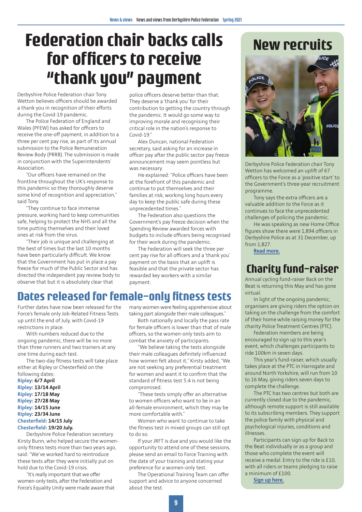## **Federation chair backs calls for officers to receive "thank you" payment**

Derbyshire Police Federation chair Tony Wetton believes officers should be awarded a thank you in recognition of their efforts during the Covid-19 pandemic.

The Police Federation of England and Wales (PFEW) has asked for officers to receive the one-off payment, in addition to a three per cent pay rise, as part of its annual submission to the Police Remuneration Review Body (PRRB). The submission is made in conjunction with the Superintendents' Association.

"Our officers have remained on the frontline throughout the UK's response to this pandemic so they thoroughly deserve some kind of recognition and appreciation," said Tony.

"They continue to face immense pressure, working hard to keep communities safe, helping to protect the NHS and all the time putting themselves and their loved ones at risk from the virus.

"Their job is unique and challenging at the best of times but the last 10 months have been particularly difficult. We know that the Government has put in place a pay freeze for much of the Public Sector and has directed the independent pay review body to observe that but it is absolutely clear that

police officers deserve better than that. They deserve a 'thank you' for their contribution to getting the country through the pandemic. It would go some way to improving morale and recognising their critical role in the nation's response to Covid-19."

Alex Duncan, national Federation secretary, said asking for an increase in officer pay after the public sector pay freeze announcement may seem pointless but was necessary.

He explained: "Police officers have been at the forefront of this pandemic and continue to put themselves and their families at risk, working long hours every day to keep the public safe during these unprecedented times."

The Federation also questions the Government's pay freeze decision when the Spending Review awarded forces with budgets to include officers being recognised for their work during the pandemic.

The Federation will seek the three per cent pay rise for all officers and a 'thank you' payment on the basis that an uplift is feasible and that the private sector has rewarded key workers with a similar payment.

#### **Dates released for female-only fitness tests**

Further dates have now been released for the Force's female only Job-Related Fitness Tests up until the end of July, with Covid-19 restrictions in place.

With numbers reduced due to the ongoing pandemic, there will be no more than three runners and two trainers at any one time during each test.

The two-day fitness tests will take place either at Ripley or Chesterfield on the

following dates: **Ripley: 6/7 April Ripley: 13/14 April Ripley: 17/18 May Ripley: 27/28 May Ripley: 14/15 June Ripley: 23/34 June Chesterfield: 14/15 July Chesterfield: 19/20 July.**

Derbyshire Police Federation secretary Kirsty Bunn, who helped secure the womenonly fitness tests more than two years ago, said: "We've worked hard to reintroduce these tests after they were initially put on hold due to the Covid-19 crisis.

"It's really important that we offer women-only tests, after the Federation and Force's Equality Unity were made aware that many women were feeling apprehensive about taking part alongside their male colleagues."

Both nationally and locally the pass rate for female officers is lower than that of male officers, so the women-only tests aim to combat the anxiety of participants.

"We believe taking the tests alongside their male colleagues definitely influenced how women felt about it," Kirsty added, "We are not seeking any preferential treatment for women and want it to confirm that the standard of fitness test 5:4 is not being compromised.

"These tests simply offer an alternative to women officers who want to be in an all-female environment, which they may be more comfortable with."

Women who want to continue to take the fitness test in mixed groups can still opt to do so.

If your JRFT is due and you would like the opportunity to attend one of these sessions, please send an email to Force Training with the date of your training and stating your preference for a women-only test.

The Operational Training Team can offer support and advice to anyone concerned about the test.

### **New recruits**



Derbyshire Police Federation chair Tony Wetton has welcomed an uplift of 67 officers to the Force as a 'positive start' to the Government's three-year recruitment programme.

Tony says the extra officers are a valuable addition to the Force as it continues to face the unprecedented challenges of policing the pandemic.

He was speaking as new Home Office figures show there were 1,894 officers in Derbyshire Police as at 31 December, up from 1,827.

**Read more.**

### **Charity fund-raiser**

Annual cycling fund-raiser Back on the Beat is returning this May and has gone virtual.

In light of the ongoing pandemic, organisers are giving riders the option on taking on the challenge from the comfort of their home while raising money for the charity Police Treatment Centres (PTC).

Federation members are being encouraged to sign up to this year's event, which challenges participants to ride 100km in seven days.

This year's fund-raiser, which usually takes place at the PTC in Harrogate and around North Yorkshire, will run from 10 to 16 May, giving riders seven days to complete the challenge.

The PTC has two centres but both are currently closed due to the pandemic, although remote support is still available to its subscribing members. They support the police family with physical and psychological injuries, conditions and illnesses.

Participants can sign up for Back to the Beat individually or as a group and those who complete the event will receive a medal. Entry to the ride is £10, with all riders or teams pledging to raise a minimum of  $f100$ .

**Sign up here.**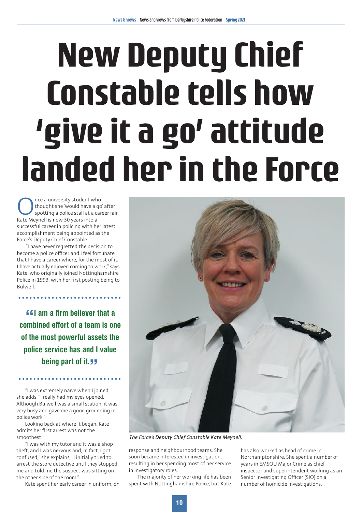# **New Deputy Chief Constable tells how 'give it a go' attitude landed her in the Force**

Once a university student who<br>thought she 'would have a go<br>spotting a police stall at a car<br>Kate Mevnell is now 30 vears into a thought she 'would have a go' after spotting a police stall at a career fair, Kate Meynell is now 30 years into a successful career in policing with her latest accomplishment being appointed as the Force's Deputy Chief Constable.

"I have never regretted the decision to become a police officer and I feel fortunate that I have a career where, for the most of it, I have actually enjoyed coming to work," says Kate, who originally joined Nottinghamshire Police in 1993, with her first posting being to Bulwell.

**" combined effort of a team is one If am a firm believer that a of the most powerful assets the police service has and I value being part of it. "** 

"I was extremely naïve when I joined," she adds, "I really had my eyes opened. Although Bulwell was a small station, it was very busy and gave me a good grounding in police work."

Looking back at where it began, Kate admits her first arrest was not the smoothest.

"I was with my tutor and it was a shop theft, and I was nervous and, in fact, I got confused," she explains, "I initially tried to arrest the store detective until they stopped me and told me the suspect was sitting on the other side of the room."

Kate spent her early career in uniform, on



*The Force's Deputy Chief Constable Kate Meynell.*

response and neighbourhood teams. She soon became interested in investigation, resulting in her spending most of her service in investigatory roles.

The majority of her working life has been spent with Nottinghamshire Police, but Kate

has also worked as head of crime in Northamptonshire. She spent a number of years in EMSOU Major Crime as chief inspector and superintendent working as an Senior Investigating Officer (SIO) on a number of homicide investigations.